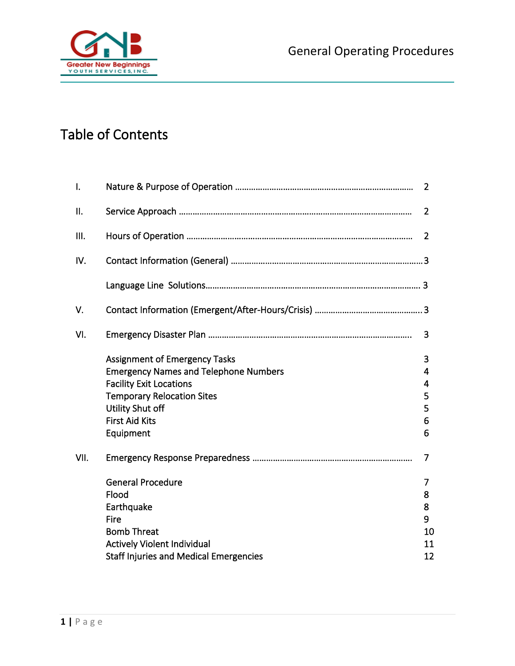

# Table of Contents

| $\mathsf{I}$ . |                                               | 2              |
|----------------|-----------------------------------------------|----------------|
| Ⅱ.             |                                               | 2              |
| III.           |                                               | 2              |
| IV.            |                                               |                |
|                |                                               |                |
| V.             |                                               |                |
| VI.            |                                               | 3              |
|                | <b>Assignment of Emergency Tasks</b>          | 3              |
|                | <b>Emergency Names and Telephone Numbers</b>  | 4              |
|                | <b>Facility Exit Locations</b>                | 4              |
|                | <b>Temporary Relocation Sites</b>             | 5              |
|                | Utility Shut off                              | 5              |
|                | <b>First Aid Kits</b>                         | 6              |
|                | Equipment                                     | 6              |
| VII.           |                                               | $\overline{7}$ |
|                | <b>General Procedure</b>                      | 7              |
|                | Flood                                         | 8              |
|                | Earthquake                                    | 8              |
|                | Fire                                          | 9              |
|                | <b>Bomb Threat</b>                            | 10             |
|                | Actively Violent Individual                   | 11             |
|                | <b>Staff Injuries and Medical Emergencies</b> | 12             |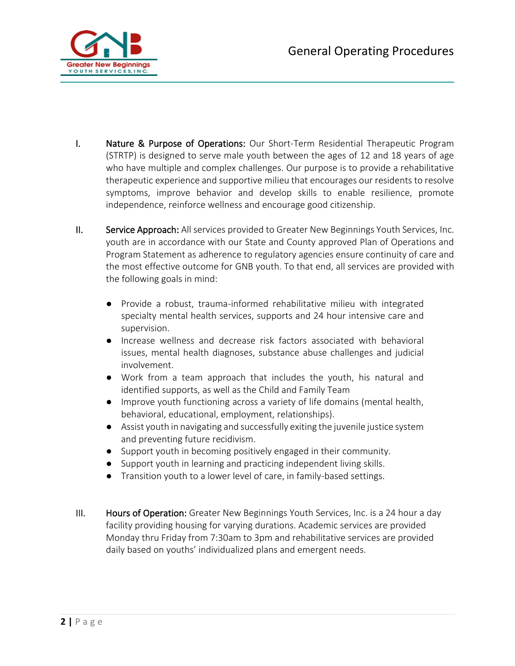

- I. Nature & Purpose of Operations: Our Short-Term Residential Therapeutic Program (STRTP) is designed to serve male youth between the ages of 12 and 18 years of age who have multiple and complex challenges. Our purpose is to provide a rehabilitative therapeutic experience and supportive milieu that encourages our residents to resolve symptoms, improve behavior and develop skills to enable resilience, promote independence, reinforce wellness and encourage good citizenship.
- II. Service Approach: All services provided to Greater New Beginnings Youth Services, Inc. youth are in accordance with our State and County approved Plan of Operations and Program Statement as adherence to regulatory agencies ensure continuity of care and the most effective outcome for GNB youth. To that end, all services are provided with the following goals in mind:
	- Provide a robust, trauma-informed rehabilitative milieu with integrated specialty mental health services, supports and 24 hour intensive care and supervision.
	- Increase wellness and decrease risk factors associated with behavioral issues, mental health diagnoses, substance abuse challenges and judicial involvement.
	- Work from a team approach that includes the youth, his natural and identified supports, as well as the Child and Family Team
	- Improve youth functioning across a variety of life domains (mental health, behavioral, educational, employment, relationships).
	- Assist youth in navigating and successfully exiting the juvenile justice system and preventing future recidivism.
	- Support youth in becoming positively engaged in their community.
	- Support youth in learning and practicing independent living skills.
	- Transition youth to a lower level of care, in family-based settings.
- III. Hours of Operation: Greater New Beginnings Youth Services, Inc. is a 24 hour a day facility providing housing for varying durations. Academic services are provided Monday thru Friday from 7:30am to 3pm and rehabilitative services are provided daily based on youths' individualized plans and emergent needs.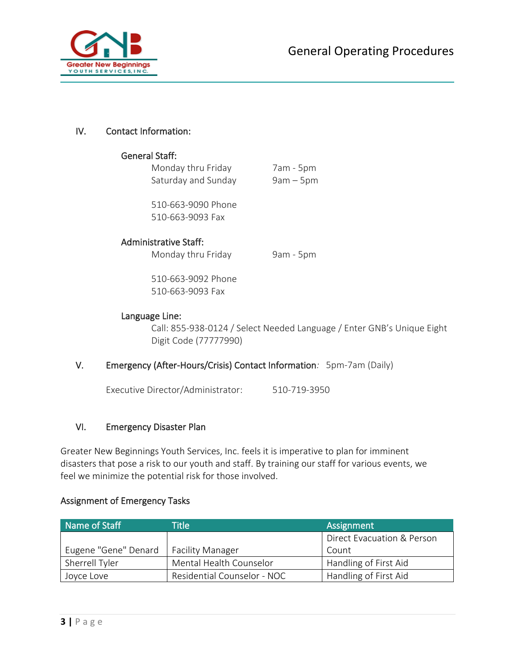

#### IV. Contact Information:

#### General Staff:

Monday thru Friday 7am - 5pm Saturday and Sunday 9am – 5pm

510-663-9090 Phone 510-663-9093 Fax

#### Administrative Staff:

Monday thru Friday 9am - 5pm

510-663-9092 Phone 510-663-9093 Fax

#### Language Line:

Call: 855-938-0124 / Select Needed Language / Enter GNB's Unique Eight Digit Code (77777990)

# V. Emergency (After-Hours/Crisis) Contact Information*:* 5pm-7am (Daily)

Executive Director/Administrator: 510-719-3950

#### VI. Emergency Disaster Plan

Greater New Beginnings Youth Services, Inc. feels it is imperative to plan for imminent disasters that pose a risk to our youth and staff. By training our staff for various events, we feel we minimize the potential risk for those involved.

#### Assignment of Emergency Tasks

| Name of Staff        | <b>Title</b>                | Assignment                 |  |
|----------------------|-----------------------------|----------------------------|--|
|                      |                             | Direct Evacuation & Person |  |
| Eugene "Gene" Denard | <b>Facility Manager</b>     | Count                      |  |
| Sherrell Tyler       | Mental Health Counselor     | Handling of First Aid      |  |
| Joyce Love           | Residential Counselor - NOC | Handling of First Aid      |  |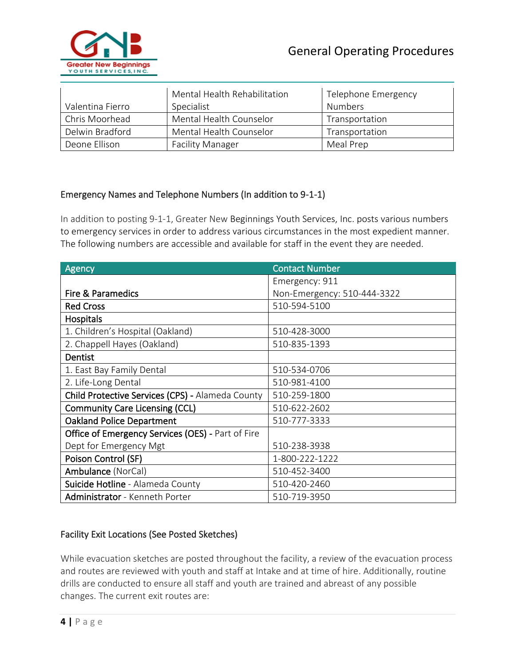

|                  | Mental Health Rehabilitation | Telephone Emergency |  |
|------------------|------------------------------|---------------------|--|
| Valentina Fierro | Specialist                   | <b>Numbers</b>      |  |
| Chris Moorhead   | Mental Health Counselor      | Transportation      |  |
| Delwin Bradford  | Mental Health Counselor      | Transportation      |  |
| Deone Ellison    | <b>Facility Manager</b>      | Meal Prep           |  |

# Emergency Names and Telephone Numbers (In addition to 9-1-1)

In addition to posting 9-1-1, Greater New Beginnings Youth Services, Inc. posts various numbers to emergency services in order to address various circumstances in the most expedient manner. The following numbers are accessible and available for staff in the event they are needed.

| Agency                                            | <b>Contact Number</b>       |  |
|---------------------------------------------------|-----------------------------|--|
|                                                   | Emergency: 911              |  |
| <b>Fire &amp; Paramedics</b>                      | Non-Emergency: 510-444-3322 |  |
| <b>Red Cross</b>                                  | 510-594-5100                |  |
| Hospitals                                         |                             |  |
| 1. Children's Hospital (Oakland)                  | 510-428-3000                |  |
| 2. Chappell Hayes (Oakland)                       | 510-835-1393                |  |
| Dentist                                           |                             |  |
| 1. East Bay Family Dental                         | 510-534-0706                |  |
| 2. Life-Long Dental                               | 510-981-4100                |  |
| Child Protective Services (CPS) - Alameda County  | 510-259-1800                |  |
| <b>Community Care Licensing (CCL)</b>             | 510-622-2602                |  |
| <b>Oakland Police Department</b>                  | 510-777-3333                |  |
| Office of Emergency Services (OES) - Part of Fire |                             |  |
| Dept for Emergency Mgt                            | 510-238-3938                |  |
| Poison Control (SF)                               | 1-800-222-1222              |  |
| Ambulance (NorCal)                                | 510-452-3400                |  |
| Suicide Hotline - Alameda County                  | 510-420-2460                |  |
| Administrator - Kenneth Porter                    | 510-719-3950                |  |

# Facility Exit Locations (See Posted Sketches)

While evacuation sketches are posted throughout the facility, a review of the evacuation process and routes are reviewed with youth and staff at Intake and at time of hire. Additionally, routine drills are conducted to ensure all staff and youth are trained and abreast of any possible changes. The current exit routes are: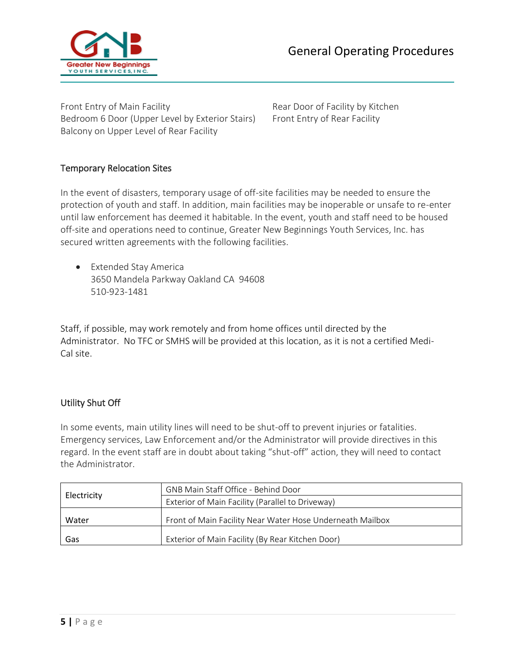

Front Entry of Main Facility **Rear Door of Facility by Kitchen** Bedroom 6 Door (Upper Level by Exterior Stairs) Front Entry of Rear Facility Balcony on Upper Level of Rear Facility

# Temporary Relocation Sites

In the event of disasters, temporary usage of off-site facilities may be needed to ensure the protection of youth and staff. In addition, main facilities may be inoperable or unsafe to re-enter until law enforcement has deemed it habitable. In the event, youth and staff need to be housed off-site and operations need to continue, Greater New Beginnings Youth Services, Inc. has secured written agreements with the following facilities.

• Extended Stay America 3650 Mandela Parkway Oakland CA 94608 510-923-1481

Staff, if possible, may work remotely and from home offices until directed by the Administrator. No TFC or SMHS will be provided at this location, as it is not a certified Medi-Cal site.

#### Utility Shut Off

In some events, main utility lines will need to be shut-off to prevent injuries or fatalities. Emergency services, Law Enforcement and/or the Administrator will provide directives in this regard. In the event staff are in doubt about taking "shut-off" action, they will need to contact the Administrator.

|             | GNB Main Staff Office - Behind Door                       |
|-------------|-----------------------------------------------------------|
| Electricity | Exterior of Main Facility (Parallel to Driveway)          |
| Water       | Front of Main Facility Near Water Hose Underneath Mailbox |
| Gas         | Exterior of Main Facility (By Rear Kitchen Door)          |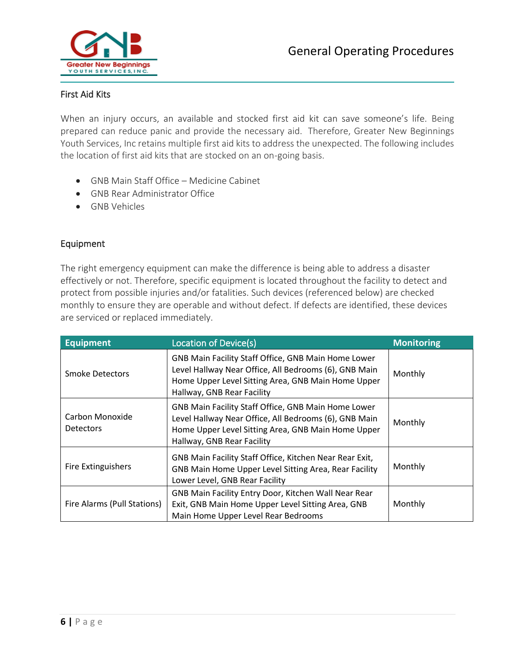

## First Aid Kits

When an injury occurs, an available and stocked first aid kit can save someone's life. Being prepared can reduce panic and provide the necessary aid. Therefore, Greater New Beginnings Youth Services, Inc retains multiple first aid kits to address the unexpected. The following includes the location of first aid kits that are stocked on an on-going basis.

- GNB Main Staff Office Medicine Cabinet
- GNB Rear Administrator Office
- GNB Vehicles

## Equipment

The right emergency equipment can make the difference is being able to address a disaster effectively or not. Therefore, specific equipment is located throughout the facility to detect and protect from possible injuries and/or fatalities. Such devices (referenced below) are checked monthly to ensure they are operable and without defect. If defects are identified, these devices are serviced or replaced immediately.

| <b>Equipment</b>                    | Location of Device(s)                                                                                                                                                                                   | <b>Monitoring</b> |
|-------------------------------------|---------------------------------------------------------------------------------------------------------------------------------------------------------------------------------------------------------|-------------------|
| Smoke Detectors                     | GNB Main Facility Staff Office, GNB Main Home Lower<br>Level Hallway Near Office, All Bedrooms (6), GNB Main<br>Home Upper Level Sitting Area, GNB Main Home Upper<br>Hallway, GNB Rear Facility        | Monthly           |
| Carbon Monoxide<br><b>Detectors</b> | <b>GNB Main Facility Staff Office, GNB Main Home Lower</b><br>Level Hallway Near Office, All Bedrooms (6), GNB Main<br>Home Upper Level Sitting Area, GNB Main Home Upper<br>Hallway, GNB Rear Facility | Monthly           |
| <b>Fire Extinguishers</b>           | GNB Main Facility Staff Office, Kitchen Near Rear Exit,<br>GNB Main Home Upper Level Sitting Area, Rear Facility<br>Lower Level, GNB Rear Facility                                                      | Monthly           |
| Fire Alarms (Pull Stations)         | GNB Main Facility Entry Door, Kitchen Wall Near Rear<br>Exit, GNB Main Home Upper Level Sitting Area, GNB<br>Main Home Upper Level Rear Bedrooms                                                        | Monthly           |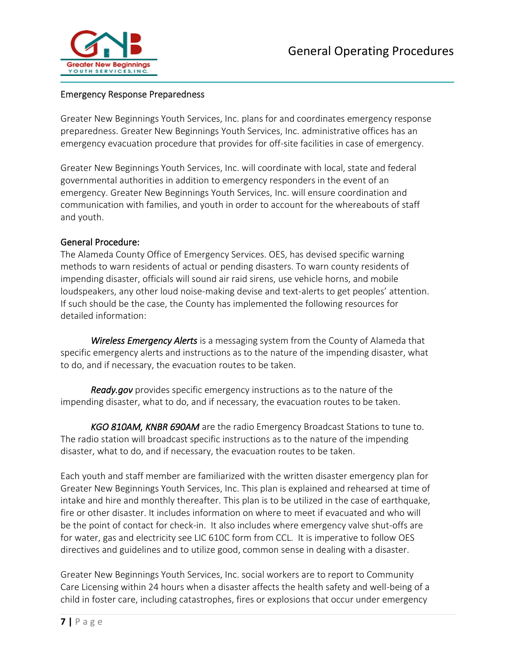

## Emergency Response Preparedness

Greater New Beginnings Youth Services, Inc. plans for and coordinates emergency response preparedness. Greater New Beginnings Youth Services, Inc. administrative offices has an emergency evacuation procedure that provides for off-site facilities in case of emergency.

Greater New Beginnings Youth Services, Inc. will coordinate with local, state and federal governmental authorities in addition to emergency responders in the event of an emergency. Greater New Beginnings Youth Services, Inc. will ensure coordination and communication with families, and youth in order to account for the whereabouts of staff and youth.

#### General Procedure:

The Alameda County Office of Emergency Services. OES, has devised specific warning methods to warn residents of actual or pending disasters. To warn county residents of impending disaster, officials will sound air raid sirens, use vehicle horns, and mobile loudspeakers, any other loud noise-making devise and text-alerts to get peoples' attention. If such should be the case, the County has implemented the following resources for detailed information:

*Wireless Emergency Alerts* is a messaging system from the County of Alameda that specific emergency alerts and instructions as to the nature of the impending disaster, what to do, and if necessary, the evacuation routes to be taken.

*Ready.gov* provides specific emergency instructions as to the nature of the impending disaster, what to do, and if necessary, the evacuation routes to be taken.

*KGO 810AM, KNBR 690AM* are the radio Emergency Broadcast Stations to tune to. The radio station will broadcast specific instructions as to the nature of the impending disaster, what to do, and if necessary, the evacuation routes to be taken.

Each youth and staff member are familiarized with the written disaster emergency plan for Greater New Beginnings Youth Services, Inc. This plan is explained and rehearsed at time of intake and hire and monthly thereafter. This plan is to be utilized in the case of earthquake, fire or other disaster. It includes information on where to meet if evacuated and who will be the point of contact for check-in. It also includes where emergency valve shut-offs are for water, gas and electricity see LIC 610C form from CCL. It is imperative to follow OES directives and guidelines and to utilize good, common sense in dealing with a disaster.

Greater New Beginnings Youth Services, Inc. social workers are to report to Community Care Licensing within 24 hours when a disaster affects the health safety and well-being of a child in foster care, including catastrophes, fires or explosions that occur under emergency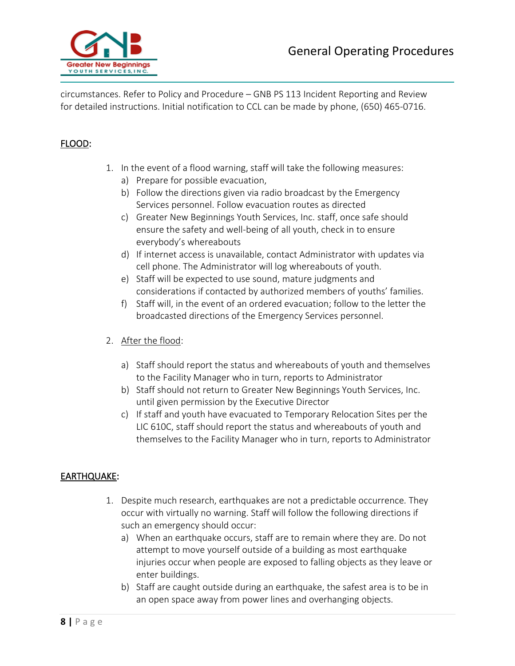

circumstances. Refer to Policy and Procedure – GNB PS 113 Incident Reporting and Review for detailed instructions. Initial notification to CCL can be made by phone, (650) 465-0716.

## FLOOD:

- 1. In the event of a flood warning, staff will take the following measures:
	- a) Prepare for possible evacuation,
	- b) Follow the directions given via radio broadcast by the Emergency Services personnel. Follow evacuation routes as directed
	- c) Greater New Beginnings Youth Services, Inc. staff, once safe should ensure the safety and well-being of all youth, check in to ensure everybody's whereabouts
	- d) If internet access is unavailable, contact Administrator with updates via cell phone. The Administrator will log whereabouts of youth.
	- e) Staff will be expected to use sound, mature judgments and considerations if contacted by authorized members of youths' families.
	- f) Staff will, in the event of an ordered evacuation; follow to the letter the broadcasted directions of the Emergency Services personnel.
- 2. After the flood:
	- a) Staff should report the status and whereabouts of youth and themselves to the Facility Manager who in turn, reports to Administrator
	- b) Staff should not return to Greater New Beginnings Youth Services, Inc. until given permission by the Executive Director
	- c) If staff and youth have evacuated to Temporary Relocation Sites per the LIC 610C, staff should report the status and whereabouts of youth and themselves to the Facility Manager who in turn, reports to Administrator

# EARTHQUAKE:

- 1. Despite much research, earthquakes are not a predictable occurrence. They occur with virtually no warning. Staff will follow the following directions if such an emergency should occur:
	- a) When an earthquake occurs, staff are to remain where they are. Do not attempt to move yourself outside of a building as most earthquake injuries occur when people are exposed to falling objects as they leave or enter buildings.
	- b) Staff are caught outside during an earthquake, the safest area is to be in an open space away from power lines and overhanging objects.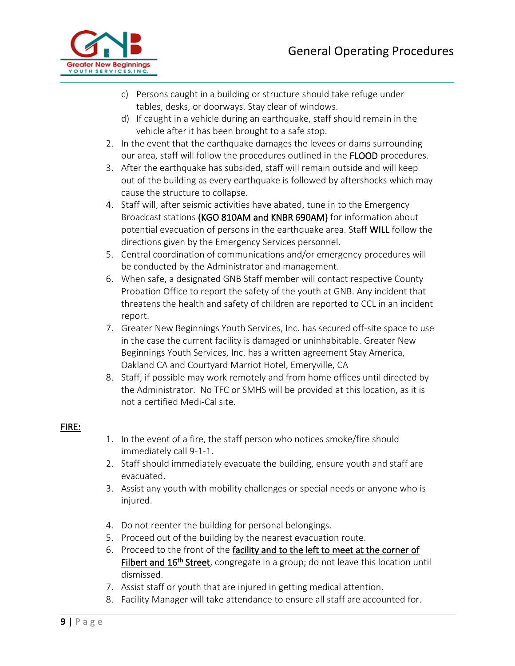

- c) Persons caught in a building or structure should take refuge under tables, desks, or doorways. Stay clear of windows.
- d) If caught in a vehicle during an earthquake, staff should remain in the vehicle after it has been brought to a safe stop.
- 2. In the event that the earthquake damages the levees or dams surrounding our area, staff will follow the procedures outlined in the FLOOD procedures.
- 3. After the earthquake has subsided, staff will remain outside and will keep out of the building as every earthquake is followed by aftershocks which may cause the structure to collapse.
- 4. Staff will, after seismic activities have abated, tune in to the Emergency Broadcast stations (KGO 810AM and KNBR 690AM) for information about potential evacuation of persons in the earthquake area. Staff WILL follow the directions given by the Emergency Services personnel.
- 5. Central coordination of communications and/or emergency procedures will be conducted by the Administrator and management.
- 6. When safe, a designated GNB Staff member will contact respective County Probation Office to report the safety of the youth at GNB. Any incident that threatens the health and safety of children are reported to CCL in an incident report.
- 7. Greater New Beginnings Youth Services, Inc. has secured off-site space to use in the case the current facility is damaged or uninhabitable. Greater New Beginnings Youth Services, Inc. has a written agreement Stay America, Oakland CA and Courtyard Marriot Hotel, Emeryville, CA
- 8. Staff, if possible may work remotely and from home offices until directed by the Administrator. No TFC or SMHS will be provided at this location, as it is not a certified Medi-Cal site.

# FIRE:

- 1. In the event of a fire, the staff person who notices smoke/fire should immediately call 9-1-1.
- 2. Staff should immediately evacuate the building, ensure youth and staff are evacuated.
- 3. Assist any youth with mobility challenges or special needs or anyone who is injured.
- 4. Do not reenter the building for personal belongings.
- 5. Proceed out of the building by the nearest evacuation route.
- 6. Proceed to the front of the facility and to the left to meet at the corner of Filbert and 16<sup>th</sup> Street, congregate in a group; do not leave this location until dismissed.
- 7. Assist staff or youth that are injured in getting medical attention.
- 8. Facility Manager will take attendance to ensure all staff are accounted for.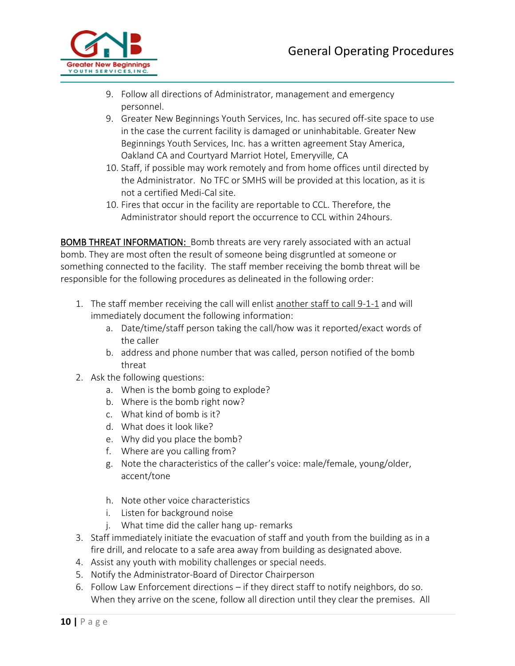

- 9. Follow all directions of Administrator, management and emergency personnel.
- 9. Greater New Beginnings Youth Services, Inc. has secured off-site space to use in the case the current facility is damaged or uninhabitable. Greater New Beginnings Youth Services, Inc. has a written agreement Stay America, Oakland CA and Courtyard Marriot Hotel, Emeryville, CA
- 10. Staff, if possible may work remotely and from home offices until directed by the Administrator. No TFC or SMHS will be provided at this location, as it is not a certified Medi-Cal site.
- 10. Fires that occur in the facility are reportable to CCL. Therefore, the Administrator should report the occurrence to CCL within 24hours.

BOMB THREAT INFORMATION: Bomb threats are very rarely associated with an actual bomb. They are most often the result of someone being disgruntled at someone or something connected to the facility. The staff member receiving the bomb threat will be responsible for the following procedures as delineated in the following order:

- 1. The staff member receiving the call will enlist another staff to call 9-1-1 and will immediately document the following information:
	- a. Date/time/staff person taking the call/how was it reported/exact words of the caller
	- b. address and phone number that was called, person notified of the bomb threat
- 2. Ask the following questions:
	- a. When is the bomb going to explode?
	- b. Where is the bomb right now?
	- c. What kind of bomb is it?
	- d. What does it look like?
	- e. Why did you place the bomb?
	- f. Where are you calling from?
	- g. Note the characteristics of the caller's voice: male/female, young/older, accent/tone
	- h. Note other voice characteristics
	- i. Listen for background noise
	- j. What time did the caller hang up- remarks
- 3. Staff immediately initiate the evacuation of staff and youth from the building as in a fire drill, and relocate to a safe area away from building as designated above.
- 4. Assist any youth with mobility challenges or special needs.
- 5. Notify the Administrator-Board of Director Chairperson
- 6. Follow Law Enforcement directions if they direct staff to notify neighbors, do so. When they arrive on the scene, follow all direction until they clear the premises. All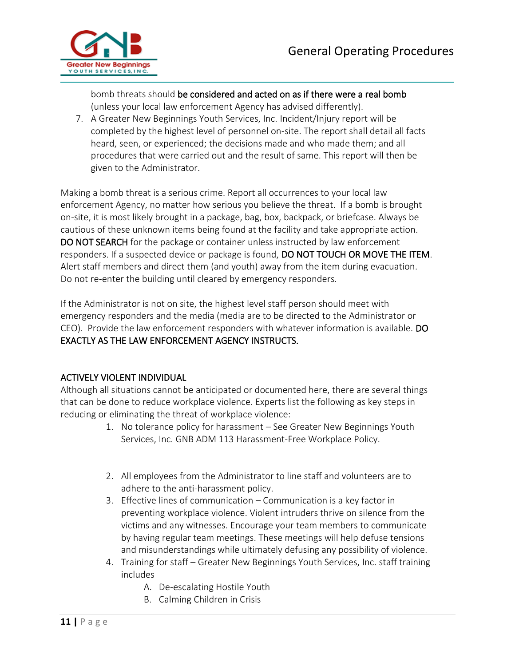

bomb threats should be considered and acted on as if there were a real bomb (unless your local law enforcement Agency has advised differently).

7. A Greater New Beginnings Youth Services, Inc. Incident/Injury report will be completed by the highest level of personnel on-site. The report shall detail all facts heard, seen, or experienced; the decisions made and who made them; and all procedures that were carried out and the result of same. This report will then be given to the Administrator.

Making a bomb threat is a serious crime. Report all occurrences to your local law enforcement Agency, no matter how serious you believe the threat. If a bomb is brought on-site, it is most likely brought in a package, bag, box, backpack, or briefcase. Always be cautious of these unknown items being found at the facility and take appropriate action. DO NOT SEARCH for the package or container unless instructed by law enforcement responders. If a suspected device or package is found, DO NOT TOUCH OR MOVE THE ITEM. Alert staff members and direct them (and youth) away from the item during evacuation. Do not re-enter the building until cleared by emergency responders.

If the Administrator is not on site, the highest level staff person should meet with emergency responders and the media (media are to be directed to the Administrator or CEO). Provide the law enforcement responders with whatever information is available. DO EXACTLY AS THE LAW ENFORCEMENT AGENCY INSTRUCTS.

# ACTIVELY VIOLENT INDIVIDUAL

Although all situations cannot be anticipated or documented here, there are several things that can be done to reduce workplace violence. Experts list the following as key steps in reducing or eliminating the threat of workplace violence:

- 1. No tolerance policy for harassment See Greater New Beginnings Youth Services, Inc. GNB ADM 113 Harassment-Free Workplace Policy.
- 2. All employees from the Administrator to line staff and volunteers are to adhere to the anti-harassment policy.
- 3. Effective lines of communication Communication is a key factor in preventing workplace violence. Violent intruders thrive on silence from the victims and any witnesses. Encourage your team members to communicate by having regular team meetings. These meetings will help defuse tensions and misunderstandings while ultimately defusing any possibility of violence.
- 4. Training for staff Greater New Beginnings Youth Services, Inc. staff training includes
	- A. De-escalating Hostile Youth
	- B. Calming Children in Crisis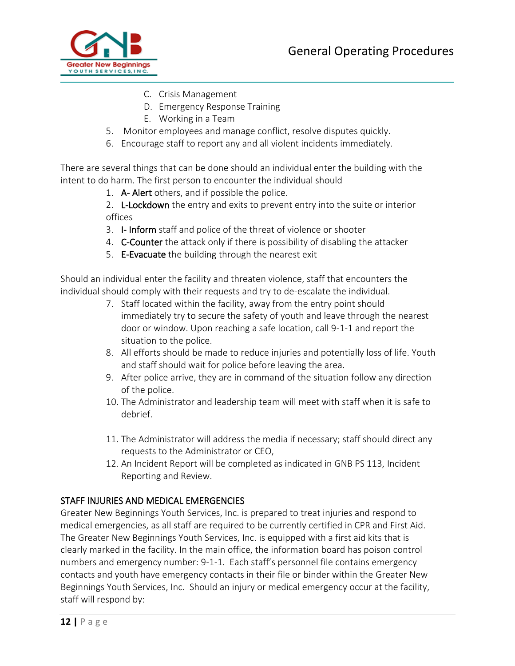

- C. Crisis Management
- D. Emergency Response Training
- E. Working in a Team
- 5. Monitor employees and manage conflict, resolve disputes quickly.
- 6. Encourage staff to report any and all violent incidents immediately.

There are several things that can be done should an individual enter the building with the intent to do harm. The first person to encounter the individual should

1. A- Alert others, and if possible the police.

2. L-Lockdown the entry and exits to prevent entry into the suite or interior offices

- 3. I- Inform staff and police of the threat of violence or shooter
- 4. C-Counter the attack only if there is possibility of disabling the attacker
- 5. E-Evacuate the building through the nearest exit

Should an individual enter the facility and threaten violence, staff that encounters the individual should comply with their requests and try to de-escalate the individual.

- 7. Staff located within the facility, away from the entry point should immediately try to secure the safety of youth and leave through the nearest door or window. Upon reaching a safe location, call 9-1-1 and report the situation to the police.
- 8. All efforts should be made to reduce injuries and potentially loss of life. Youth and staff should wait for police before leaving the area.
- 9. After police arrive, they are in command of the situation follow any direction of the police.
- 10. The Administrator and leadership team will meet with staff when it is safe to debrief.
- 11. The Administrator will address the media if necessary; staff should direct any requests to the Administrator or CEO,
- 12. An Incident Report will be completed as indicated in GNB PS 113, Incident Reporting and Review.

#### STAFF INJURIES AND MEDICAL EMERGENCIES

Greater New Beginnings Youth Services, Inc. is prepared to treat injuries and respond to medical emergencies, as all staff are required to be currently certified in CPR and First Aid. The Greater New Beginnings Youth Services, Inc. is equipped with a first aid kits that is clearly marked in the facility. In the main office, the information board has poison control numbers and emergency number: 9-1-1. Each staff's personnel file contains emergency contacts and youth have emergency contacts in their file or binder within the Greater New Beginnings Youth Services, Inc. Should an injury or medical emergency occur at the facility, staff will respond by: